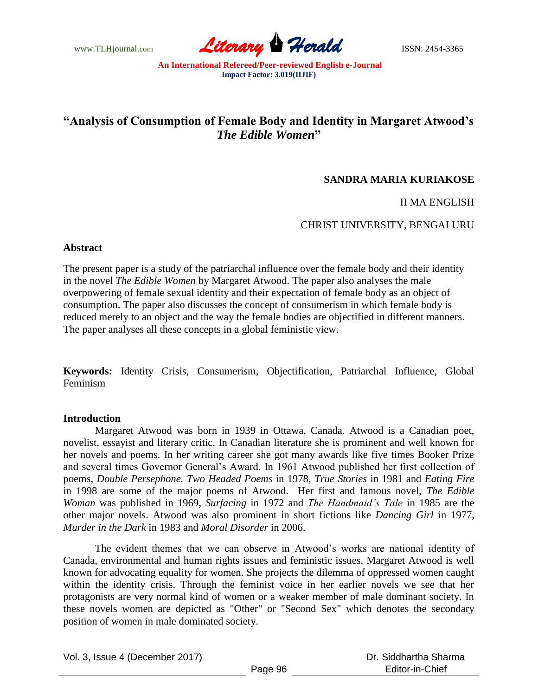www.TLHjournal.com **Literary Perald Herald ISSN: 2454-3365** 

# **"Analysis of Consumption of Female Body and Identity in Margaret Atwood's**  *The Edible Women***"**

# **SANDRA MARIA KURIAKOSE**

II MA ENGLISH

CHRIST UNIVERSITY, BENGALURU

## **Abstract**

The present paper is a study of the patriarchal influence over the female body and their identity in the novel *The Edible Women* by Margaret Atwood. The paper also analyses the male overpowering of female sexual identity and their expectation of female body as an object of consumption. The paper also discusses the concept of consumerism in which female body is reduced merely to an object and the way the female bodies are objectified in different manners. The paper analyses all these concepts in a global feministic view.

**Keywords:** Identity Crisis, Consumerism, Objectification, Patriarchal Influence, Global Feminism

## **Introduction**

Margaret Atwood was born in 1939 in Ottawa, Canada. Atwood is a Canadian poet, novelist, essayist and literary critic. In Canadian literature she is prominent and well known for her novels and poems. In her writing career she got many awards like five times Booker Prize and several times Governor General"s Award. In 1961 Atwood published her first collection of poems*, Double Persephone. Two Headed Poems* in 1978, *True Stories* in 1981 and *Eating Fire* in 1998 are some of the major poems of Atwood. Her first and famous novel, *The Edible Woman* was published in 1969*, Surfacing* in 1972 and *The Handmaid's Tale* in 1985 are the other major novels. Atwood was also prominent in short fictions like *Dancing Girl* in 1977, *Murder in the Dark* in 1983 and *Moral Disorder* in 2006.

The evident themes that we can observe in Atwood"s works are national identity of Canada, environmental and human rights issues and feministic issues. Margaret Atwood is well known for advocating equality for women. She projects the dilemma of oppressed women caught within the identity crisis. Through the feminist voice in her earlier novels we see that her protagonists are very normal kind of women or a weaker member of male dominant society. In these novels women are depicted as "Other" or "Second Sex" which denotes the secondary position of women in male dominated society.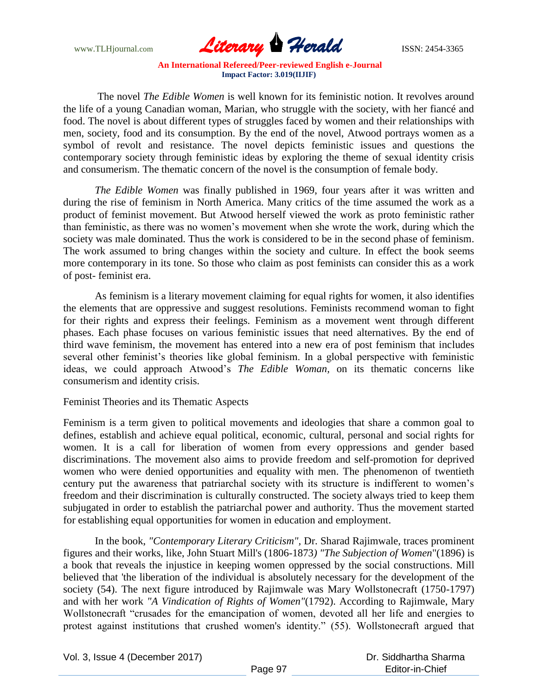www.TLHjournal.com **Literary Perald ISSN: 2454-3365** 

The novel *The Edible Women* is well known for its feministic notion. It revolves around the life of a young Canadian woman, Marian, who struggle with the society, with her fiancé and food. The novel is about different types of struggles faced by women and their relationships with men, society, food and its consumption. By the end of the novel, Atwood portrays women as a symbol of revolt and resistance. The novel depicts feministic issues and questions the contemporary society through feministic ideas by exploring the theme of sexual identity crisis and consumerism. The thematic concern of the novel is the consumption of female body.

*The Edible Women* was finally published in 1969, four years after it was written and during the rise of feminism in North America. Many critics of the time assumed the work as a product of feminist movement. But Atwood herself viewed the work as proto feministic rather than feministic, as there was no women"s movement when she wrote the work, during which the society was male dominated. Thus the work is considered to be in the second phase of feminism. The work assumed to bring changes within the society and culture. In effect the book seems more contemporary in its tone. So those who claim as post feminists can consider this as a work of post- feminist era.

As feminism is a literary movement claiming for equal rights for women, it also identifies the elements that are oppressive and suggest resolutions. Feminists recommend woman to fight for their rights and express their feelings. Feminism as a movement went through different phases. Each phase focuses on various feministic issues that need alternatives. By the end of third wave feminism, the movement has entered into a new era of post feminism that includes several other feminist's theories like global feminism. In a global perspective with feministic ideas, we could approach Atwood"s *The Edible Woman,* on its thematic concerns like consumerism and identity crisis.

Feminist Theories and its Thematic Aspects

Feminism is a term given to political movements and ideologies that share a common goal to defines, establish and achieve equal political, economic, cultural, personal and social rights for women. It is a call for liberation of women from every oppressions and gender based discriminations. The movement also aims to provide freedom and self-promotion for deprived women who were denied opportunities and equality with men. The phenomenon of twentieth century put the awareness that patriarchal society with its structure is indifferent to women"s freedom and their discrimination is culturally constructed. The society always tried to keep them subjugated in order to establish the patriarchal power and authority. Thus the movement started for establishing equal opportunities for women in education and employment.

In the book, *"Contemporary Literary Criticism",* Dr. Sharad Rajimwale, traces prominent figures and their works, like, John Stuart Mill's (1806-1873*) "The Subjection of Women*"(1896) is a book that reveals the injustice in keeping women oppressed by the social constructions. Mill believed that 'the liberation of the individual is absolutely necessary for the development of the society (54). The next figure introduced by Rajimwale was Mary Wollstonecraft (1750-1797) and with her work *"A Vindication of Rights of Women"*(1792). According to Rajimwale, Mary Wollstonecraft "crusades for the emancipation of women, devoted all her life and energies to protest against institutions that crushed women's identity." (55). Wollstonecraft argued that

Vol. 3, Issue 4 (December 2017)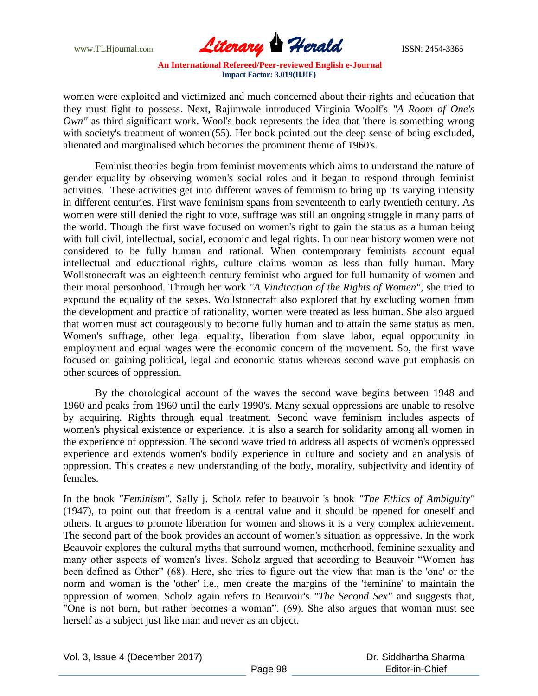www.TLHjournal.com **Literary Herald Herald ISSN: 2454-3365** 

women were exploited and victimized and much concerned about their rights and education that they must fight to possess. Next, Rajimwale introduced Virginia Woolf's *"A Room of One's Own"* as third significant work. Wool's book represents the idea that 'there is something wrong with society's treatment of women'(55). Her book pointed out the deep sense of being excluded, alienated and marginalised which becomes the prominent theme of 1960's.

Feminist theories begin from feminist movements which aims to understand the nature of gender equality by observing women's social roles and it began to respond through feminist activities. These activities get into different waves of feminism to bring up its varying intensity in different centuries. First wave feminism spans from seventeenth to early twentieth century. As women were still denied the right to vote, suffrage was still an ongoing struggle in many parts of the world. Though the first wave focused on women's right to gain the status as a human being with full civil, intellectual, social, economic and legal rights. In our near history women were not considered to be fully human and rational. When contemporary feminists account equal intellectual and educational rights, culture claims woman as less than fully human. Mary Wollstonecraft was an eighteenth century feminist who argued for full humanity of women and their moral personhood. Through her work *"A Vindication of the Rights of Women",* she tried to expound the equality of the sexes. Wollstonecraft also explored that by excluding women from the development and practice of rationality, women were treated as less human. She also argued that women must act courageously to become fully human and to attain the same status as men. Women's suffrage, other legal equality, liberation from slave labor, equal opportunity in employment and equal wages were the economic concern of the movement. So, the first wave focused on gaining political, legal and economic status whereas second wave put emphasis on other sources of oppression.

By the chorological account of the waves the second wave begins between 1948 and 1960 and peaks from 1960 until the early 1990's. Many sexual oppressions are unable to resolve by acquiring. Rights through equal treatment. Second wave feminism includes aspects of women's physical existence or experience. It is also a search for solidarity among all women in the experience of oppression. The second wave tried to address all aspects of women's oppressed experience and extends women's bodily experience in culture and society and an analysis of oppression. This creates a new understanding of the body, morality, subjectivity and identity of females.

In the book *"Feminism",* Sally j. Scholz refer to beauvoir 's book *"The Ethics of Ambiguity"* (1947), to point out that freedom is a central value and it should be opened for oneself and others. It argues to promote liberation for women and shows it is a very complex achievement. The second part of the book provides an account of women's situation as oppressive. In the work Beauvoir explores the cultural myths that surround women, motherhood, feminine sexuality and many other aspects of women's lives. Scholz argued that according to Beauvoir "Women has been defined as Other" (68). Here, she tries to figure out the view that man is the 'one' or the norm and woman is the 'other' i.e., men create the margins of the 'feminine' to maintain the oppression of women. Scholz again refers to Beauvoir's *"The Second Sex"* and suggests that, "One is not born, but rather becomes a woman". (69). She also argues that woman must see herself as a subject just like man and never as an object.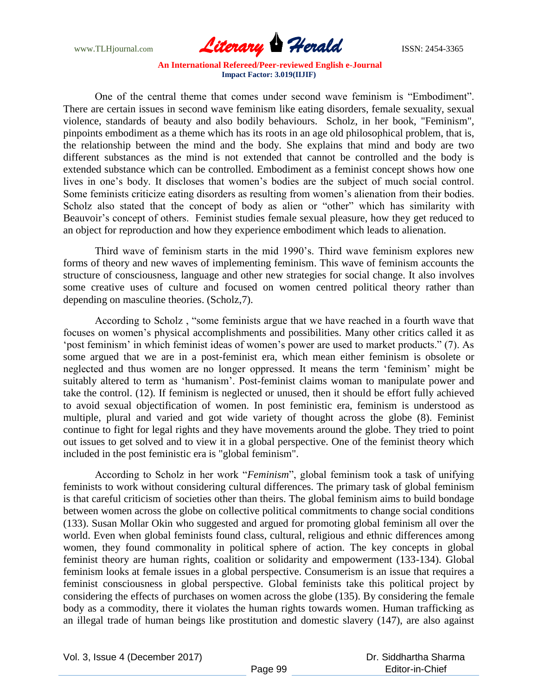www.TLHjournal.com **Literary Herald Herald ISSN: 2454-3365** 

One of the central theme that comes under second wave feminism is "Embodiment". There are certain issues in second wave feminism like eating disorders, female sexuality, sexual violence, standards of beauty and also bodily behaviours. Scholz, in her book, "Feminism", pinpoints embodiment as a theme which has its roots in an age old philosophical problem, that is, the relationship between the mind and the body. She explains that mind and body are two different substances as the mind is not extended that cannot be controlled and the body is extended substance which can be controlled. Embodiment as a feminist concept shows how one lives in one's body. It discloses that women's bodies are the subject of much social control. Some feminists criticize eating disorders as resulting from women"s alienation from their bodies. Scholz also stated that the concept of body as alien or "other" which has similarity with Beauvoir's concept of others. Feminist studies female sexual pleasure, how they get reduced to an object for reproduction and how they experience embodiment which leads to alienation.

Third wave of feminism starts in the mid 1990"s. Third wave feminism explores new forms of theory and new waves of implementing feminism. This wave of feminism accounts the structure of consciousness, language and other new strategies for social change. It also involves some creative uses of culture and focused on women centred political theory rather than depending on masculine theories. (Scholz,7).

According to Scholz , "some feminists argue that we have reached in a fourth wave that focuses on women"s physical accomplishments and possibilities. Many other critics called it as "post feminism" in which feminist ideas of women's power are used to market products." (7). As some argued that we are in a post-feminist era, which mean either feminism is obsolete or neglected and thus women are no longer oppressed. It means the term "feminism" might be suitably altered to term as "humanism". Post-feminist claims woman to manipulate power and take the control. (12). If feminism is neglected or unused, then it should be effort fully achieved to avoid sexual objectification of women. In post feministic era, feminism is understood as multiple, plural and varied and got wide variety of thought across the globe (8). Feminist continue to fight for legal rights and they have movements around the globe. They tried to point out issues to get solved and to view it in a global perspective. One of the feminist theory which included in the post feministic era is "global feminism".

According to Scholz in her work "*Feminism*", global feminism took a task of unifying feminists to work without considering cultural differences. The primary task of global feminism is that careful criticism of societies other than theirs. The global feminism aims to build bondage between women across the globe on collective political commitments to change social conditions (133). Susan Mollar Okin who suggested and argued for promoting global feminism all over the world. Even when global feminists found class, cultural, religious and ethnic differences among women, they found commonality in political sphere of action. The key concepts in global feminist theory are human rights, coalition or solidarity and empowerment (133-134). Global feminism looks at female issues in a global perspective. Consumerism is an issue that requires a feminist consciousness in global perspective. Global feminists take this political project by considering the effects of purchases on women across the globe (135). By considering the female body as a commodity, there it violates the human rights towards women. Human trafficking as an illegal trade of human beings like prostitution and domestic slavery (147), are also against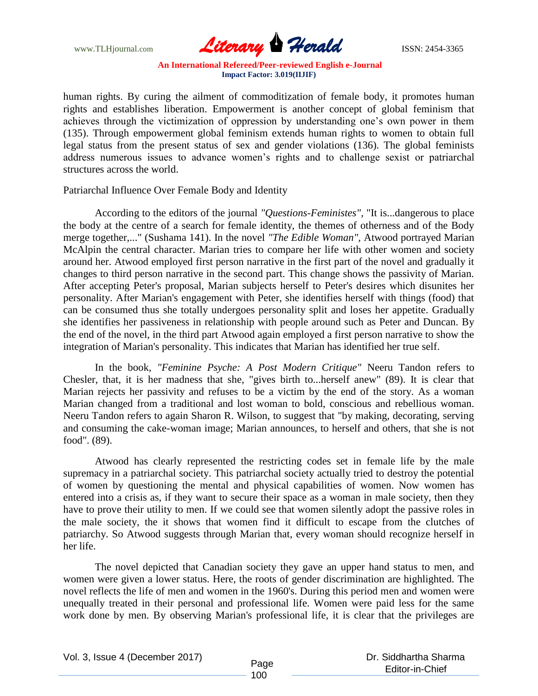www.TLHjournal.com **Literary Herald Herald ISSN: 2454-3365** 

human rights. By curing the ailment of commoditization of female body, it promotes human rights and establishes liberation. Empowerment is another concept of global feminism that achieves through the victimization of oppression by understanding one"s own power in them (135). Through empowerment global feminism extends human rights to women to obtain full legal status from the present status of sex and gender violations (136). The global feminists address numerous issues to advance women"s rights and to challenge sexist or patriarchal structures across the world.

## Patriarchal Influence Over Female Body and Identity

According to the editors of the journal *"Questions-Feministes",* "It is...dangerous to place the body at the centre of a search for female identity, the themes of otherness and of the Body merge together,..." (Sushama 141). In the novel *"The Edible Woman",* Atwood portrayed Marian McAlpin the central character. Marian tries to compare her life with other women and society around her. Atwood employed first person narrative in the first part of the novel and gradually it changes to third person narrative in the second part. This change shows the passivity of Marian. After accepting Peter's proposal, Marian subjects herself to Peter's desires which disunites her personality. After Marian's engagement with Peter, she identifies herself with things (food) that can be consumed thus she totally undergoes personality split and loses her appetite. Gradually she identifies her passiveness in relationship with people around such as Peter and Duncan. By the end of the novel, in the third part Atwood again employed a first person narrative to show the integration of Marian's personality. This indicates that Marian has identified her true self.

In the book*, "Feminine Psyche: A Post Modern Critique"* Neeru Tandon refers to Chesler, that, it is her madness that she, "gives birth to...herself anew" (89). It is clear that Marian rejects her passivity and refuses to be a victim by the end of the story. As a woman Marian changed from a traditional and lost woman to bold, conscious and rebellious woman. Neeru Tandon refers to again Sharon R. Wilson, to suggest that "by making, decorating, serving and consuming the cake-woman image; Marian announces, to herself and others, that she is not food". (89).

Atwood has clearly represented the restricting codes set in female life by the male supremacy in a patriarchal society. This patriarchal society actually tried to destroy the potential of women by questioning the mental and physical capabilities of women. Now women has entered into a crisis as, if they want to secure their space as a woman in male society, then they have to prove their utility to men. If we could see that women silently adopt the passive roles in the male society, the it shows that women find it difficult to escape from the clutches of patriarchy. So Atwood suggests through Marian that, every woman should recognize herself in her life.

The novel depicted that Canadian society they gave an upper hand status to men, and women were given a lower status. Here, the roots of gender discrimination are highlighted. The novel reflects the life of men and women in the 1960's. During this period men and women were unequally treated in their personal and professional life. Women were paid less for the same work done by men. By observing Marian's professional life, it is clear that the privileges are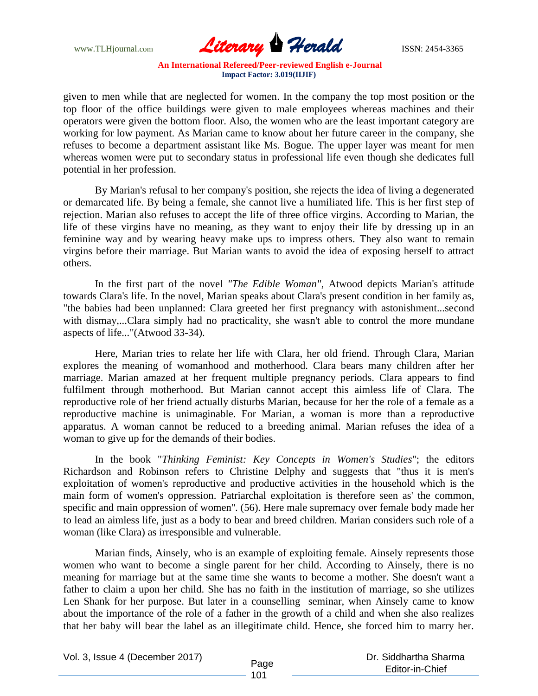www.TLHjournal.com **Literary Herald Herald ISSN: 2454-3365** 

given to men while that are neglected for women. In the company the top most position or the top floor of the office buildings were given to male employees whereas machines and their operators were given the bottom floor. Also, the women who are the least important category are working for low payment. As Marian came to know about her future career in the company, she refuses to become a department assistant like Ms. Bogue. The upper layer was meant for men whereas women were put to secondary status in professional life even though she dedicates full potential in her profession.

By Marian's refusal to her company's position, she rejects the idea of living a degenerated or demarcated life. By being a female, she cannot live a humiliated life. This is her first step of rejection. Marian also refuses to accept the life of three office virgins. According to Marian, the life of these virgins have no meaning, as they want to enjoy their life by dressing up in an feminine way and by wearing heavy make ups to impress others. They also want to remain virgins before their marriage. But Marian wants to avoid the idea of exposing herself to attract others.

In the first part of the novel *"The Edible Woman"*, Atwood depicts Marian's attitude towards Clara's life. In the novel, Marian speaks about Clara's present condition in her family as, "the babies had been unplanned: Clara greeted her first pregnancy with astonishment...second with dismay,...Clara simply had no practicality, she wasn't able to control the more mundane aspects of life..."(Atwood 33-34).

Here, Marian tries to relate her life with Clara, her old friend. Through Clara, Marian explores the meaning of womanhood and motherhood. Clara bears many children after her marriage. Marian amazed at her frequent multiple pregnancy periods. Clara appears to find fulfilment through motherhood. But Marian cannot accept this aimless life of Clara. The reproductive role of her friend actually disturbs Marian, because for her the role of a female as a reproductive machine is unimaginable. For Marian, a woman is more than a reproductive apparatus. A woman cannot be reduced to a breeding animal. Marian refuses the idea of a woman to give up for the demands of their bodies.

In the book "*Thinking Feminist: Key Concepts in Women's Studies*"; the editors Richardson and Robinson refers to Christine Delphy and suggests that "thus it is men's exploitation of women's reproductive and productive activities in the household which is the main form of women's oppression. Patriarchal exploitation is therefore seen as' the common, specific and main oppression of women''. (56). Here male supremacy over female body made her to lead an aimless life, just as a body to bear and breed children. Marian considers such role of a woman (like Clara) as irresponsible and vulnerable.

Marian finds, Ainsely, who is an example of exploiting female. Ainsely represents those women who want to become a single parent for her child. According to Ainsely, there is no meaning for marriage but at the same time she wants to become a mother. She doesn't want a father to claim a upon her child. She has no faith in the institution of marriage, so she utilizes Len Shank for her purpose. But later in a counselling seminar, when Ainsely came to know about the importance of the role of a father in the growth of a child and when she also realizes that her baby will bear the label as an illegitimate child. Hence, she forced him to marry her.

Vol. 3, Issue 4 (December 2017) Page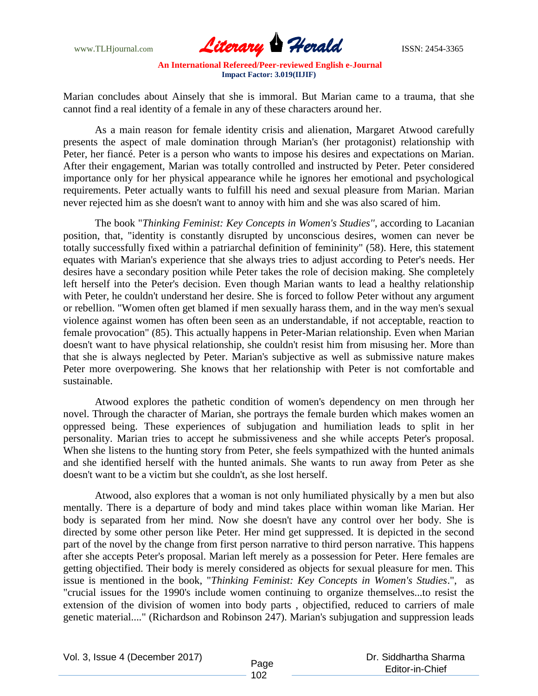www.TLHjournal.com **Literary Herald Herald ISSN: 2454-3365** 

Marian concludes about Ainsely that she is immoral. But Marian came to a trauma, that she cannot find a real identity of a female in any of these characters around her.

As a main reason for female identity crisis and alienation, Margaret Atwood carefully presents the aspect of male domination through Marian's (her protagonist) relationship with Peter, her fiancé. Peter is a person who wants to impose his desires and expectations on Marian. After their engagement, Marian was totally controlled and instructed by Peter. Peter considered importance only for her physical appearance while he ignores her emotional and psychological requirements. Peter actually wants to fulfill his need and sexual pleasure from Marian. Marian never rejected him as she doesn't want to annoy with him and she was also scared of him.

The book "*Thinking Feminist: Key Concepts in Women's Studies''*, according to Lacanian position, that, "identity is constantly disrupted by unconscious desires, women can never be totally successfully fixed within a patriarchal definition of femininity" (58). Here, this statement equates with Marian's experience that she always tries to adjust according to Peter's needs. Her desires have a secondary position while Peter takes the role of decision making. She completely left herself into the Peter's decision. Even though Marian wants to lead a healthy relationship with Peter, he couldn't understand her desire. She is forced to follow Peter without any argument or rebellion. "Women often get blamed if men sexually harass them, and in the way men's sexual violence against women has often been seen as an understandable, if not acceptable, reaction to female provocation" (85). This actually happens in Peter-Marian relationship. Even when Marian doesn't want to have physical relationship, she couldn't resist him from misusing her. More than that she is always neglected by Peter. Marian's subjective as well as submissive nature makes Peter more overpowering. She knows that her relationship with Peter is not comfortable and sustainable.

Atwood explores the pathetic condition of women's dependency on men through her novel. Through the character of Marian, she portrays the female burden which makes women an oppressed being. These experiences of subjugation and humiliation leads to split in her personality. Marian tries to accept he submissiveness and she while accepts Peter's proposal. When she listens to the hunting story from Peter, she feels sympathized with the hunted animals and she identified herself with the hunted animals. She wants to run away from Peter as she doesn't want to be a victim but she couldn't, as she lost herself.

Atwood, also explores that a woman is not only humiliated physically by a men but also mentally. There is a departure of body and mind takes place within woman like Marian. Her body is separated from her mind. Now she doesn't have any control over her body. She is directed by some other person like Peter. Her mind get suppressed. It is depicted in the second part of the novel by the change from first person narrative to third person narrative. This happens after she accepts Peter's proposal. Marian left merely as a possession for Peter. Here females are getting objectified. Their body is merely considered as objects for sexual pleasure for men. This issue is mentioned in the book, "*Thinking Feminist: Key Concepts in Women's Studies*.", as "crucial issues for the 1990's include women continuing to organize themselves...to resist the extension of the division of women into body parts , objectified, reduced to carriers of male genetic material...." (Richardson and Robinson 247). Marian's subjugation and suppression leads

Vol. 3, Issue 4 (December 2017) Page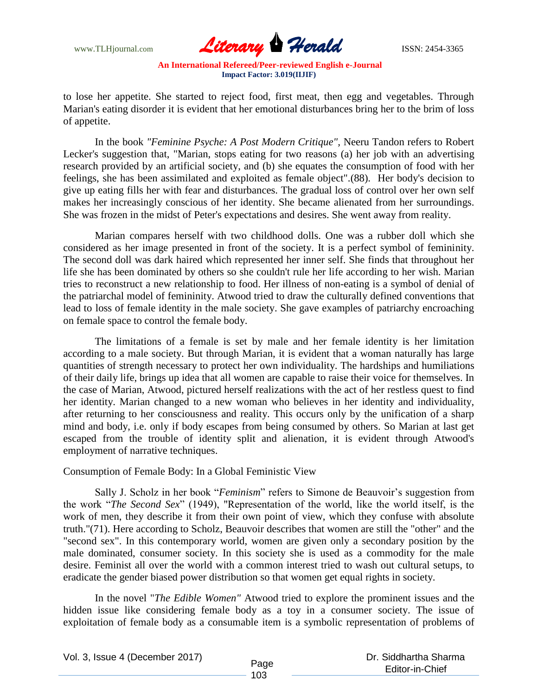

to lose her appetite. She started to reject food, first meat, then egg and vegetables. Through Marian's eating disorder it is evident that her emotional disturbances bring her to the brim of loss of appetite.

In the book *"Feminine Psyche: A Post Modern Critique",* Neeru Tandon refers to Robert Lecker's suggestion that, "Marian, stops eating for two reasons (a) her job with an advertising research provided by an artificial society, and (b) she equates the consumption of food with her feelings, she has been assimilated and exploited as female object".(88). Her body's decision to give up eating fills her with fear and disturbances. The gradual loss of control over her own self makes her increasingly conscious of her identity. She became alienated from her surroundings. She was frozen in the midst of Peter's expectations and desires. She went away from reality.

Marian compares herself with two childhood dolls. One was a rubber doll which she considered as her image presented in front of the society. It is a perfect symbol of femininity. The second doll was dark haired which represented her inner self. She finds that throughout her life she has been dominated by others so she couldn't rule her life according to her wish. Marian tries to reconstruct a new relationship to food. Her illness of non-eating is a symbol of denial of the patriarchal model of femininity. Atwood tried to draw the culturally defined conventions that lead to loss of female identity in the male society. She gave examples of patriarchy encroaching on female space to control the female body.

The limitations of a female is set by male and her female identity is her limitation according to a male society. But through Marian, it is evident that a woman naturally has large quantities of strength necessary to protect her own individuality. The hardships and humiliations of their daily life, brings up idea that all women are capable to raise their voice for themselves. In the case of Marian, Atwood, pictured herself realizations with the act of her restless quest to find her identity. Marian changed to a new woman who believes in her identity and individuality, after returning to her consciousness and reality. This occurs only by the unification of a sharp mind and body, i.e. only if body escapes from being consumed by others. So Marian at last get escaped from the trouble of identity split and alienation, it is evident through Atwood's employment of narrative techniques.

#### Consumption of Female Body: In a Global Feministic View

Sally J. Scholz in her book "*Feminism*" refers to Simone de Beauvoir's suggestion from the work "*The Second Sex*" (1949), "Representation of the world, like the world itself, is the work of men, they describe it from their own point of view, which they confuse with absolute truth."(71). Here according to Scholz, Beauvoir describes that women are still the "other" and the "second sex". In this contemporary world, women are given only a secondary position by the male dominated, consumer society. In this society she is used as a commodity for the male desire. Feminist all over the world with a common interest tried to wash out cultural setups, to eradicate the gender biased power distribution so that women get equal rights in society.

In the novel "*The Edible Women"* Atwood tried to explore the prominent issues and the hidden issue like considering female body as a toy in a consumer society. The issue of exploitation of female body as a consumable item is a symbolic representation of problems of

Vol. 3, Issue 4 (December 2017) Page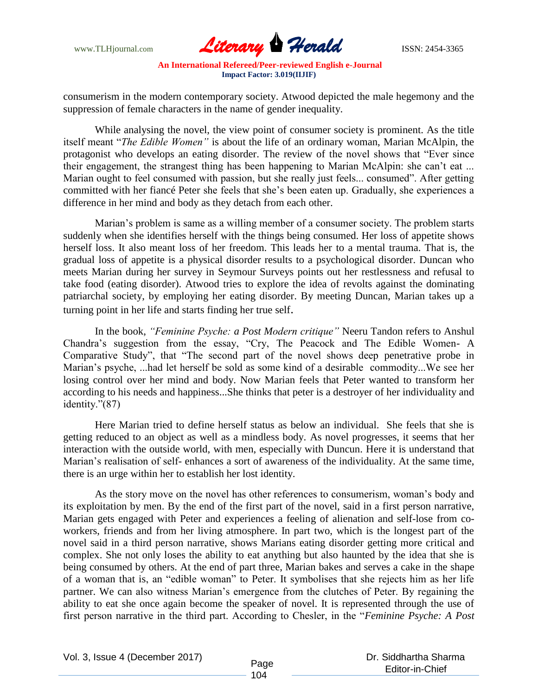

consumerism in the modern contemporary society. Atwood depicted the male hegemony and the suppression of female characters in the name of gender inequality.

While analysing the novel, the view point of consumer society is prominent. As the title itself meant "*The Edible Women"* is about the life of an ordinary woman, Marian McAlpin, the protagonist who develops an eating disorder. The review of the novel shows that "Ever since their engagement, the strangest thing has been happening to Marian McAlpin: she can't eat ... Marian ought to feel consumed with passion, but she really just feels... consumed". After getting committed with her fiancé Peter she feels that she"s been eaten up. Gradually, she experiences a difference in her mind and body as they detach from each other.

Marian's problem is same as a willing member of a consumer society. The problem starts suddenly when she identifies herself with the things being consumed. Her loss of appetite shows herself loss. It also meant loss of her freedom. This leads her to a mental trauma. That is, the gradual loss of appetite is a physical disorder results to a psychological disorder. Duncan who meets Marian during her survey in Seymour Surveys points out her restlessness and refusal to take food (eating disorder). Atwood tries to explore the idea of revolts against the dominating patriarchal society, by employing her eating disorder. By meeting Duncan, Marian takes up a turning point in her life and starts finding her true self.

In the book, *"Feminine Psyche: a Post Modern critique"* Neeru Tandon refers to Anshul Chandra"s suggestion from the essay, "Cry, The Peacock and The Edible Women- A Comparative Study", that "The second part of the novel shows deep penetrative probe in Marian"s psyche, ...had let herself be sold as some kind of a desirable commodity...We see her losing control over her mind and body. Now Marian feels that Peter wanted to transform her according to his needs and happiness...She thinks that peter is a destroyer of her individuality and identity."(87)

Here Marian tried to define herself status as below an individual. She feels that she is getting reduced to an object as well as a mindless body. As novel progresses, it seems that her interaction with the outside world, with men, especially with Duncun. Here it is understand that Marian"s realisation of self- enhances a sort of awareness of the individuality. At the same time, there is an urge within her to establish her lost identity.

As the story move on the novel has other references to consumerism, woman"s body and its exploitation by men. By the end of the first part of the novel, said in a first person narrative, Marian gets engaged with Peter and experiences a feeling of alienation and self-lose from coworkers, friends and from her living atmosphere. In part two, which is the longest part of the novel said in a third person narrative, shows Marians eating disorder getting more critical and complex. She not only loses the ability to eat anything but also haunted by the idea that she is being consumed by others. At the end of part three, Marian bakes and serves a cake in the shape of a woman that is, an "edible woman" to Peter. It symbolises that she rejects him as her life partner. We can also witness Marian's emergence from the clutches of Peter. By regaining the ability to eat she once again become the speaker of novel. It is represented through the use of first person narrative in the third part. According to Chesler, in the "*Feminine Psyche: A Post*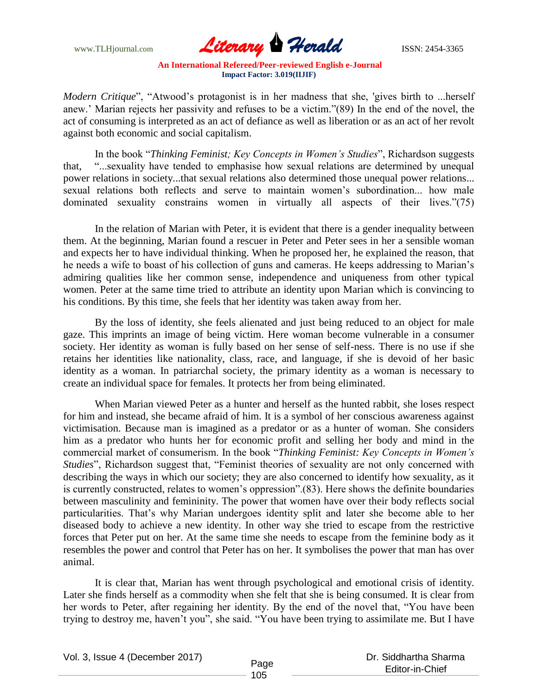

*Modern Critique*", "Atwood"s protagonist is in her madness that she, 'gives birth to ...herself anew." Marian rejects her passivity and refuses to be a victim."(89) In the end of the novel, the act of consuming is interpreted as an act of defiance as well as liberation or as an act of her revolt against both economic and social capitalism.

In the book "*Thinking Feminist; Key Concepts in Women's Studies*", Richardson suggests that, "...sexuality have tended to emphasise how sexual relations are determined by unequal power relations in society...that sexual relations also determined those unequal power relations... sexual relations both reflects and serve to maintain women"s subordination... how male dominated sexuality constrains women in virtually all aspects of their lives."(75)

In the relation of Marian with Peter, it is evident that there is a gender inequality between them. At the beginning, Marian found a rescuer in Peter and Peter sees in her a sensible woman and expects her to have individual thinking. When he proposed her, he explained the reason, that he needs a wife to boast of his collection of guns and cameras. He keeps addressing to Marian's admiring qualities like her common sense, independence and uniqueness from other typical women. Peter at the same time tried to attribute an identity upon Marian which is convincing to his conditions. By this time, she feels that her identity was taken away from her.

By the loss of identity, she feels alienated and just being reduced to an object for male gaze. This imprints an image of being victim. Here woman become vulnerable in a consumer society. Her identity as woman is fully based on her sense of self-ness. There is no use if she retains her identities like nationality, class, race, and language, if she is devoid of her basic identity as a woman. In patriarchal society, the primary identity as a woman is necessary to create an individual space for females. It protects her from being eliminated.

When Marian viewed Peter as a hunter and herself as the hunted rabbit, she loses respect for him and instead, she became afraid of him. It is a symbol of her conscious awareness against victimisation. Because man is imagined as a predator or as a hunter of woman. She considers him as a predator who hunts her for economic profit and selling her body and mind in the commercial market of consumerism. In the book "*Thinking Feminist: Key Concepts in Women's Studies*", Richardson suggest that, "Feminist theories of sexuality are not only concerned with describing the ways in which our society; they are also concerned to identify how sexuality, as it is currently constructed, relates to women's oppression".(83). Here shows the definite boundaries between masculinity and femininity. The power that women have over their body reflects social particularities. That"s why Marian undergoes identity split and later she become able to her diseased body to achieve a new identity. In other way she tried to escape from the restrictive forces that Peter put on her. At the same time she needs to escape from the feminine body as it resembles the power and control that Peter has on her. It symbolises the power that man has over animal.

It is clear that, Marian has went through psychological and emotional crisis of identity. Later she finds herself as a commodity when she felt that she is being consumed. It is clear from her words to Peter, after regaining her identity. By the end of the novel that, "You have been trying to destroy me, haven"t you", she said. "You have been trying to assimilate me. But I have

Vol. 3, Issue 4 (December 2017) Page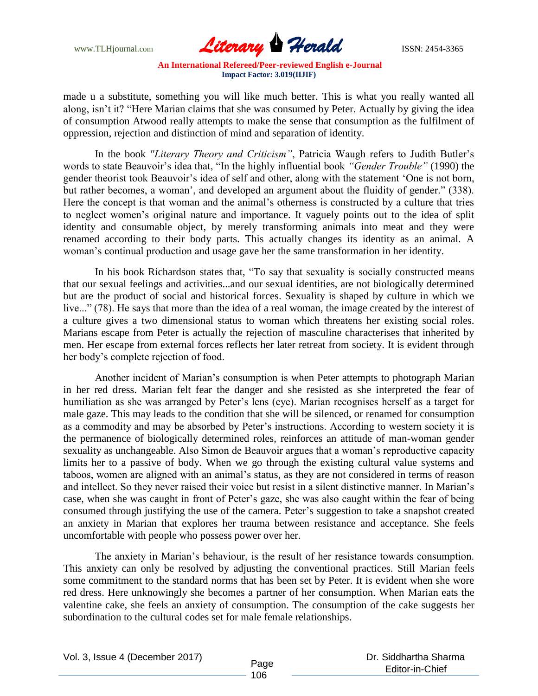www.TLHjournal.com **Literary Herald ISSN: 2454-3365** 

made u a substitute, something you will like much better. This is what you really wanted all along, isn't it? "Here Marian claims that she was consumed by Peter. Actually by giving the idea of consumption Atwood really attempts to make the sense that consumption as the fulfilment of oppression, rejection and distinction of mind and separation of identity.

In the book *"Literary Theory and Criticism"*, Patricia Waugh refers to Judith Butler"s words to state Beauvoir"s idea that, "In the highly influential book *"Gender Trouble"* (1990) the gender theorist took Beauvoir"s idea of self and other, along with the statement "One is not born, but rather becomes, a woman', and developed an argument about the fluidity of gender." (338). Here the concept is that woman and the animal"s otherness is constructed by a culture that tries to neglect women"s original nature and importance. It vaguely points out to the idea of split identity and consumable object, by merely transforming animals into meat and they were renamed according to their body parts. This actually changes its identity as an animal. A woman"s continual production and usage gave her the same transformation in her identity.

In his book Richardson states that, "To say that sexuality is socially constructed means that our sexual feelings and activities...and our sexual identities, are not biologically determined but are the product of social and historical forces. Sexuality is shaped by culture in which we live..." (78). He says that more than the idea of a real woman, the image created by the interest of a culture gives a two dimensional status to woman which threatens her existing social roles. Marians escape from Peter is actually the rejection of masculine characterises that inherited by men. Her escape from external forces reflects her later retreat from society. It is evident through her body"s complete rejection of food.

Another incident of Marian"s consumption is when Peter attempts to photograph Marian in her red dress. Marian felt fear the danger and she resisted as she interpreted the fear of humiliation as she was arranged by Peter's lens (eye). Marian recognises herself as a target for male gaze. This may leads to the condition that she will be silenced, or renamed for consumption as a commodity and may be absorbed by Peter"s instructions. According to western society it is the permanence of biologically determined roles, reinforces an attitude of man-woman gender sexuality as unchangeable. Also Simon de Beauvoir argues that a woman's reproductive capacity limits her to a passive of body. When we go through the existing cultural value systems and taboos, women are aligned with an animal"s status, as they are not considered in terms of reason and intellect. So they never raised their voice but resist in a silent distinctive manner. In Marian"s case, when she was caught in front of Peter"s gaze, she was also caught within the fear of being consumed through justifying the use of the camera. Peter"s suggestion to take a snapshot created an anxiety in Marian that explores her trauma between resistance and acceptance. She feels uncomfortable with people who possess power over her.

The anxiety in Marian"s behaviour, is the result of her resistance towards consumption. This anxiety can only be resolved by adjusting the conventional practices. Still Marian feels some commitment to the standard norms that has been set by Peter. It is evident when she wore red dress. Here unknowingly she becomes a partner of her consumption. When Marian eats the valentine cake, she feels an anxiety of consumption. The consumption of the cake suggests her subordination to the cultural codes set for male female relationships.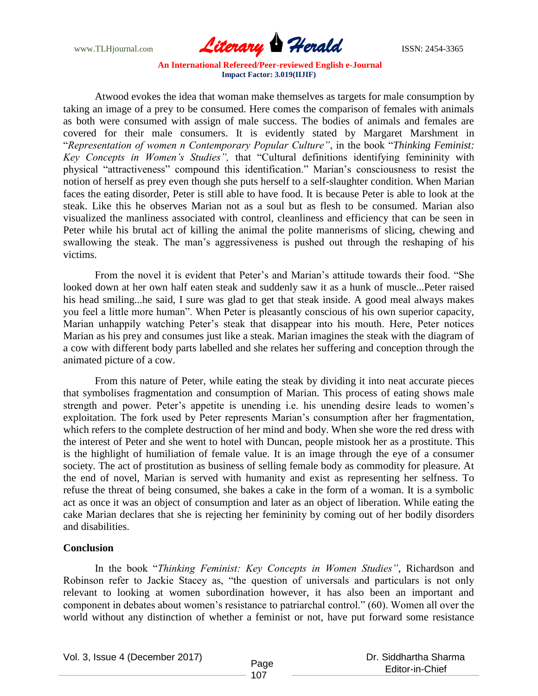www.TLHjournal.com **Literary Herald Herald ISSN: 2454-3365** 

Atwood evokes the idea that woman make themselves as targets for male consumption by taking an image of a prey to be consumed. Here comes the comparison of females with animals as both were consumed with assign of male success. The bodies of animals and females are covered for their male consumers. It is evidently stated by Margaret Marshment in "*Representation of women n Contemporary Popular Culture"*, in the book "*Thinking Feminist: Key Concepts in Women's Studies",* that "Cultural definitions identifying femininity with physical "attractiveness" compound this identification." Marian"s consciousness to resist the notion of herself as prey even though she puts herself to a self-slaughter condition. When Marian faces the eating disorder, Peter is still able to have food. It is because Peter is able to look at the steak. Like this he observes Marian not as a soul but as flesh to be consumed. Marian also visualized the manliness associated with control, cleanliness and efficiency that can be seen in Peter while his brutal act of killing the animal the polite mannerisms of slicing, chewing and swallowing the steak. The man's aggressiveness is pushed out through the reshaping of his victims.

From the novel it is evident that Peter's and Marian's attitude towards their food. "She looked down at her own half eaten steak and suddenly saw it as a hunk of muscle...Peter raised his head smiling...he said, I sure was glad to get that steak inside. A good meal always makes you feel a little more human". When Peter is pleasantly conscious of his own superior capacity, Marian unhappily watching Peter"s steak that disappear into his mouth. Here, Peter notices Marian as his prey and consumes just like a steak. Marian imagines the steak with the diagram of a cow with different body parts labelled and she relates her suffering and conception through the animated picture of a cow.

From this nature of Peter, while eating the steak by dividing it into neat accurate pieces that symbolises fragmentation and consumption of Marian. This process of eating shows male strength and power. Peter's appetite is unending i.e. his unending desire leads to women's exploitation. The fork used by Peter represents Marian"s consumption after her fragmentation, which refers to the complete destruction of her mind and body. When she wore the red dress with the interest of Peter and she went to hotel with Duncan, people mistook her as a prostitute. This is the highlight of humiliation of female value. It is an image through the eye of a consumer society. The act of prostitution as business of selling female body as commodity for pleasure. At the end of novel, Marian is served with humanity and exist as representing her selfness. To refuse the threat of being consumed, she bakes a cake in the form of a woman. It is a symbolic act as once it was an object of consumption and later as an object of liberation. While eating the cake Marian declares that she is rejecting her femininity by coming out of her bodily disorders and disabilities.

## **Conclusion**

In the book "*Thinking Feminist: Key Concepts in Women Studies"*, Richardson and Robinson refer to Jackie Stacey as, "the question of universals and particulars is not only relevant to looking at women subordination however, it has also been an important and component in debates about women"s resistance to patriarchal control." (60). Women all over the world without any distinction of whether a feminist or not, have put forward some resistance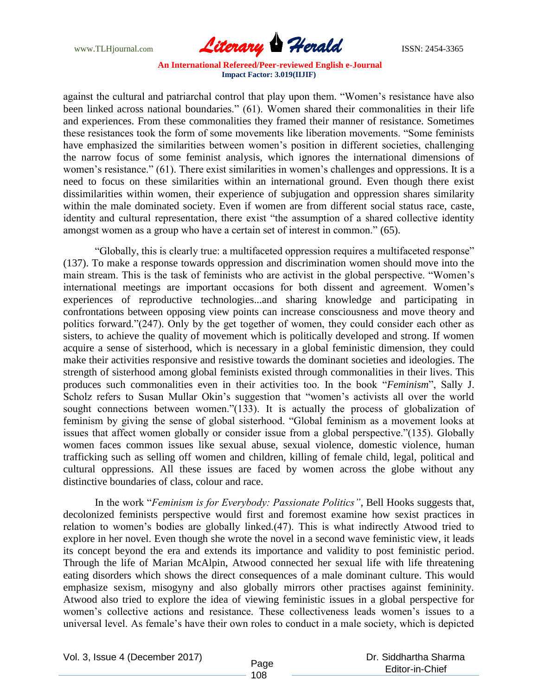

against the cultural and patriarchal control that play upon them. "Women"s resistance have also been linked across national boundaries." (61). Women shared their commonalities in their life and experiences. From these commonalities they framed their manner of resistance. Sometimes these resistances took the form of some movements like liberation movements. "Some feminists have emphasized the similarities between women"s position in different societies, challenging the narrow focus of some feminist analysis, which ignores the international dimensions of women's resistance." (61). There exist similarities in women's challenges and oppressions. It is a need to focus on these similarities within an international ground. Even though there exist dissimilarities within women, their experience of subjugation and oppression shares similarity within the male dominated society. Even if women are from different social status race, caste, identity and cultural representation, there exist "the assumption of a shared collective identity amongst women as a group who have a certain set of interest in common." (65).

"Globally, this is clearly true: a multifaceted oppression requires a multifaceted response" (137). To make a response towards oppression and discrimination women should move into the main stream. This is the task of feminists who are activist in the global perspective. "Women"s international meetings are important occasions for both dissent and agreement. Women"s experiences of reproductive technologies...and sharing knowledge and participating in confrontations between opposing view points can increase consciousness and move theory and politics forward."(247). Only by the get together of women, they could consider each other as sisters, to achieve the quality of movement which is politically developed and strong. If women acquire a sense of sisterhood, which is necessary in a global feministic dimension, they could make their activities responsive and resistive towards the dominant societies and ideologies. The strength of sisterhood among global feminists existed through commonalities in their lives. This produces such commonalities even in their activities too. In the book "*Feminism*", Sally J. Scholz refers to Susan Mullar Okin's suggestion that "women's activists all over the world sought connections between women."(133). It is actually the process of globalization of feminism by giving the sense of global sisterhood. "Global feminism as a movement looks at issues that affect women globally or consider issue from a global perspective."(135). Globally women faces common issues like sexual abuse, sexual violence, domestic violence, human trafficking such as selling off women and children, killing of female child, legal, political and cultural oppressions. All these issues are faced by women across the globe without any distinctive boundaries of class, colour and race.

In the work "*Feminism is for Everybody: Passionate Politics"*, Bell Hooks suggests that, decolonized feminists perspective would first and foremost examine how sexist practices in relation to women"s bodies are globally linked.(47). This is what indirectly Atwood tried to explore in her novel. Even though she wrote the novel in a second wave feministic view, it leads its concept beyond the era and extends its importance and validity to post feministic period. Through the life of Marian McAlpin, Atwood connected her sexual life with life threatening eating disorders which shows the direct consequences of a male dominant culture. This would emphasize sexism, misogyny and also globally mirrors other practises against femininity. Atwood also tried to explore the idea of viewing feministic issues in a global perspective for women"s collective actions and resistance. These collectiveness leads women"s issues to a universal level. As female"s have their own roles to conduct in a male society, which is depicted

Vol. 3, Issue 4 (December 2017) Page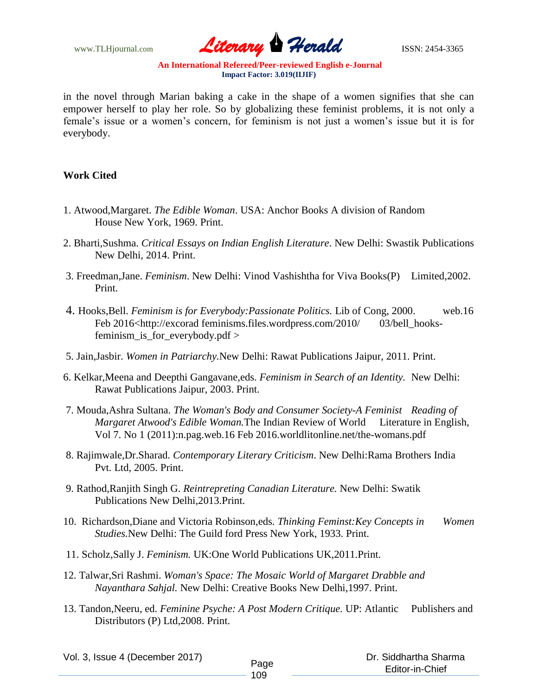

in the novel through Marian baking a cake in the shape of a women signifies that she can empower herself to play her role. So by globalizing these feminist problems, it is not only a female's issue or a women's concern, for feminism is not just a women's issue but it is for everybody.

# **Work Cited**

- 1. Atwood,Margaret. *The Edible Woman*. USA: Anchor Books A division of Random House New York, 1969. Print.
- 2. Bharti,Sushma. *Critical Essays on Indian English Literature*. New Delhi: Swastik Publications New Delhi, 2014. Print.
- 3. Freedman,Jane. *Feminism*. New Delhi: Vinod Vashishtha for Viva Books(P) Limited,2002. Print.
- 4. Hooks,Bell. *Feminism is for Everybody:Passionate Politics.* Lib of Cong, 2000. web.16 Feb 2016<http://excorad feminisms.files.wordpress.com/2010/ 03/bell\_hooksfeminism is for everybody.pdf  $>$
- 5. Jain,Jasbir. *Women in Patriarchy.*New Delhi: Rawat Publications Jaipur, 2011. Print.
- 6. Kelkar,Meena and Deepthi Gangavane,eds. *Feminism in Search of an Identity.* New Delhi: Rawat Publications Jaipur, 2003. Print.
- 7. Mouda,Ashra Sultana. *The Woman's Body and Consumer Society-A Feminist Reading of Margaret Atwood's Edible Woman.*The Indian Review of World Literature in English, Vol 7. No 1 (2011):n.pag.web.16 Feb 2016.worldlitonline.net/the-womans.pdf
- 8. Rajimwale,Dr.Sharad. *Contemporary Literary Criticism*. New Delhi:Rama Brothers India Pvt. Ltd, 2005. Print.
- 9. Rathod,Ranjith Singh G. *Reintrepreting Canadian Literature.* New Delhi: Swatik Publications New Delhi,2013.Print.
- 10. Richardson,Diane and Victoria Robinson,eds. *Thinking Feminst:Key Concepts in Women Studies.*New Delhi: The Guild ford Press New York, 1933. Print.
- 11. Scholz,Sally J. *Feminism.* UK:One World Publications UK,2011.Print.
- 12. Talwar,Sri Rashmi. *Woman's Space: The Mosaic World of Margaret Drabble and Nayanthara Sahjal.* New Delhi: Creative Books New Delhi,1997. Print.
- 13. Tandon,Neeru, ed. *Feminine Psyche: A Post Modern Critique.* UP: Atlantic Publishers and Distributors (P) Ltd,2008. Print.

| Vol. 3, Issue 4 (December 2017) | Page |
|---------------------------------|------|
|---------------------------------|------|